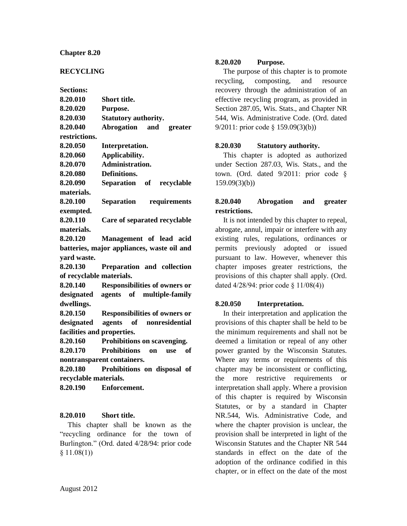### **Chapter 8.20**

### **RECYCLING**

**Sections:**

| 8.20.010                                   | <b>Short title.</b>                  |
|--------------------------------------------|--------------------------------------|
| 8.20.020                                   | Purpose.                             |
| 8.20.030                                   | <b>Statutory authority.</b>          |
| 8.20.040                                   | Abrogation and<br>greater            |
| restrictions.                              |                                      |
| 8.20.050                                   | Interpretation.                      |
| 8.20.060                                   | Applicability.                       |
| 8.20.070                                   | Administration.                      |
| 8.20.080                                   | Definitions.                         |
| 8.20.090                                   | Separation of recyclable             |
| materials.                                 |                                      |
| 8.20.100                                   | Separation requirements              |
| exempted.                                  |                                      |
| 8.20.110                                   | Care of separated recyclable         |
| materials.                                 |                                      |
| 8.20.120                                   | Management of lead acid              |
| batteries, major appliances, waste oil and |                                      |
| yard waste.                                |                                      |
| 8.20.130                                   | Preparation and collection           |
| of recyclable materials.                   |                                      |
| 8.20.140                                   | <b>Responsibilities of owners or</b> |
|                                            | designated agents of multiple-family |
| dwellings.                                 |                                      |

**8.20.150 Responsibilities of owners or designated agents of nonresidential facilities and properties.**

**8.20.160 Prohibitions on scavenging.**

**8.20.170 Prohibitions on use of nontransparent containers.**

**8.20.180 Prohibitions on disposal of recyclable materials.**

**8.20.190 Enforcement.**

#### **8.20.010 Short title.**

This chapter shall be known as the "recycling ordinance for the town of Burlington." (Ord. dated 4/28/94: prior code  $§ 11.08(1))$ 

### **8.20.020 Purpose.**

The purpose of this chapter is to promote recycling, composting, and resource recovery through the administration of an effective recycling program, as provided in Section 287.05, Wis. Stats., and Chapter NR 544, Wis. Administrative Code. (Ord. dated 9/2011: prior code § 159.09(3)(b))

#### **8.20.030 Statutory authority.**

This chapter is adopted as authorized under Section 287.03, Wis. Stats., and the town. (Ord. dated 9/2011: prior code § 159.09(3)(b))

### **8.20.040 Abrogation and greater restrictions.**

It is not intended by this chapter to repeal, abrogate, annul, impair or interfere with any existing rules, regulations, ordinances or permits previously adopted or issued pursuant to law. However, whenever this chapter imposes greater restrictions, the provisions of this chapter shall apply. (Ord. dated 4/28/94: prior code § 11/08(4))

#### **8.20.050 Interpretation.**

In their interpretation and application the provisions of this chapter shall be held to be the minimum requirements and shall not be deemed a limitation or repeal of any other power granted by the Wisconsin Statutes. Where any terms or requirements of this chapter may be inconsistent or conflicting, the more restrictive requirements or interpretation shall apply. Where a provision of this chapter is required by Wisconsin Statutes, or by a standard in Chapter NR.544, Wis. Administrative Code, and where the chapter provision is unclear, the provision shall be interpreted in light of the Wisconsin Statutes and the Chapter NR 544 standards in effect on the date of the adoption of the ordinance codified in this chapter, or in effect on the date of the most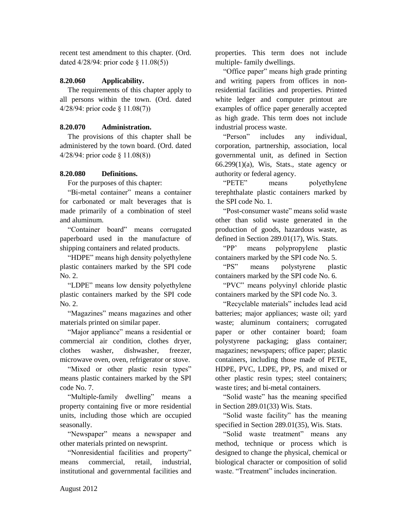recent test amendment to this chapter. (Ord. dated 4/28/94: prior code § 11.08(5))

### **8.20.060 Applicability.**

The requirements of this chapter apply to all persons within the town. (Ord. dated 4/28/94: prior code § 11.08(7))

### **8.20.070 Administration.**

The provisions of this chapter shall be administered by the town board. (Ord. dated 4/28/94: prior code § 11.08(8))

### **8.20.080 Definitions.**

For the purposes of this chapter:

"Bi-metal container" means a container for carbonated or malt beverages that is made primarily of a combination of steel and aluminum.

"Container board" means corrugated paperboard used in the manufacture of shipping containers and related products.

"HDPE" means high density polyethylene plastic containers marked by the SPI code No. 2.

"LDPE" means low density polyethylene plastic containers marked by the SPI code No. 2.

"Magazines" means magazines and other materials printed on similar paper.

"Major appliance" means a residential or commercial air condition, clothes dryer, clothes washer, dishwasher, freezer, microwave oven, oven, refrigerator or stove.

"Mixed or other plastic resin types" means plastic containers marked by the SPI code No. 7.

"Multiple-family dwelling" means a property containing five or more residential units, including those which are occupied seasonally.

"Newspaper" means a newspaper and other materials printed on newsprint.

"Nonresidential facilities and property" means commercial retail industrial institutional and governmental facilities and properties. This term does not include multiple- family dwellings.

"Office paper" means high grade printing and writing papers from offices in nonresidential facilities and properties. Printed white ledger and computer printout are examples of office paper generally accepted as high grade. This term does not include industrial process waste.

"Person" includes any individual, corporation, partnership, association, local governmental unit, as defined in Section  $66.299(1)(a)$ , Wis, Stats., state agency or authority or federal agency.

"PETE" means polyethylene terephthalate plastic containers marked by the SPI code No. 1.

"Post-consumer waste" means solid waste other than solid waste generated in the production of goods, hazardous waste, as defined in Section 289.01(17), Wis. Stats.

"PP' means polypropylene plastic containers marked by the SPI code No. 5.

"PS" means polystyrene plastic containers marked by the SPI code No. 6.

"PVC" means polyvinyl chloride plastic containers marked by the SPI code No. 3.

"Recyclable materials" includes lead acid batteries; major appliances; waste oil; yard waste; aluminum containers; corrugated paper or other container board; foam polystyrene packaging; glass container; magazines; newspapers; office paper; plastic containers, including those made of PETE, HDPE, PVC, LDPE, PP, PS, and mixed or other plastic resin types; steel containers; waste tires; and bi-metal containers.

"Solid waste" has the meaning specified in Section 289.01(33) Wis. Stats.

"Solid waste facility" has the meaning specified in Section 289.01(35), Wis. Stats.

"Solid waste treatment" means any method, technique or process which is designed to change the physical, chemical or biological character or composition of solid waste. "Treatment" includes incineration.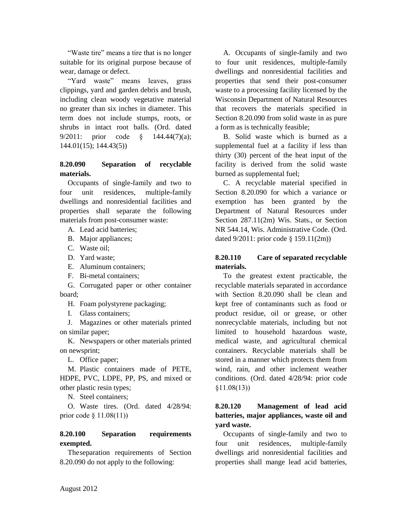"Waste tire" means a tire that is no longer suitable for its original purpose because of wear, damage or defect.

"Yard waste" means leaves, grass clippings, yard and garden debris and brush, including clean woody vegetative material no greater than six inches in diameter. This term does not include stumps, roots, or shrubs in intact root balls. (Ord. dated 9/2011: prior code § 144.44(7)(a); 144.01(15); 144.43(5))

## **8.20.090 Separation of recyclable materials.**

Occupants of single-family and two to four unit residences, multiple-family dwellings and nonresidential facilities and properties shall separate the following materials from post-consumer waste:

A. Lead acid batteries;

- B. Major appliances;
- C. Waste oil;
- D. Yard waste;
- E. Aluminum containers;
- F. Bi-metal containers;

G. Corrugated paper or other container board;

H. Foam polystyrene packaging;

I. Glass containers;

J. Magazines or other materials printed on similar paper;

K. Newspapers or other materials printed on newsprint;

L. Office paper;

M. Plastic containers made of PETE, HDPE, PVC, LDPE, PP, PS, and mixed or other plastic resin types;

N. Steel containers;

O. Waste tires. (Ord. dated 4/28/94: prior code § 11.08(11))

# **8.20.100 Separation requirements exempted.**

Theseparation requirements of Section 8.20.090 do not apply to the following:

A. Occupants of single-family and two to four unit residences, multiple-family dwellings and nonresidential facilities and properties that send their post-consumer waste to a processing facility licensed by the Wisconsin Department of Natural Resources that recovers the materials specified in Section 8.20.090 from solid waste in as pure a form as is technically feasible;

B. Solid waste which is burned as a supplemental fuel at a facility if less than thirty (30) percent of the heat input of the facility is derived from the solid waste burned as supplemental fuel;

C. A recyclable material specified in Section 8.20.090 for which a variance or exemption has been granted by the Department of Natural Resources under Section 287.11(2m) Wis. Stats., or Section NR 544.14, Wis. Administrative Code. (Ord. dated 9/2011: prior code § 159.11(2m))

## **8.20.110 Care of separated recyclable materials.**

To the greatest extent practicable, the recyclable materials separated in accordance with Section 8.20.090 shall be clean and kept free of contaminants such as food or product residue, oil or grease, or other nonrecyclable materials, including but not limited to household hazardous waste, medical waste, and agricultural chemical containers. Recyclable materials shall be stored in a manner which protects them from wind, rain, and other inclement weather conditions. (Ord. dated 4/28/94: prior code §11.08(13))

# **8.20.120 Management of lead acid batteries, major appliances, waste oil and yard waste.**

Occupants of single-family and two to four unit residences, multiple-family dwellings arid nonresidential facilities and properties shall mange lead acid batteries,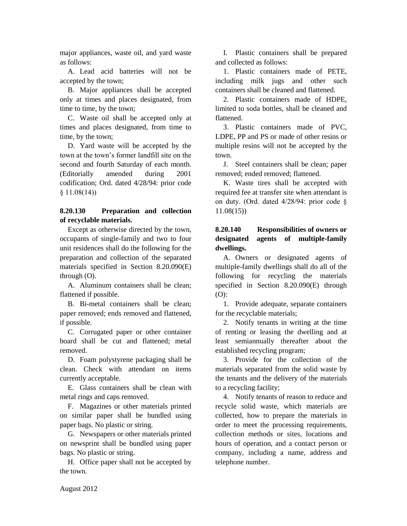major appliances, waste oil, and yard waste as follows:

A. Lead acid batteries will not be accepted by the town;

B. Major appliances shall be accepted only at times and places designated, from time to time, by the town;

C. Waste oil shall be accepted only at times and places designated, from time to time, by the town;

D. Yard waste will be accepted by the town at the town's former landfill site on the second and fourth Saturday of each month. (Editorially amended during 2001 codification; Ord. dated 4/28/94: prior code  $§ 11.08(14)$ 

## **8.20.130 Preparation and collection of recyclable materials.**

Except as otherwise directed by the town, occupants of single-family and two to four unit residences shall do the following for the preparation and collection of the separated materials specified in Section 8.20.090(E) through (O).

A. Aluminum containers shall be clean; flattened if possible.

B. Bi-metal containers shall be clean; paper removed; ends removed and flattened, if possible.

C. Corrugated paper or other container board shall be cut and flattened; metal removed.

D. Foam polystyrene packaging shall be clean. Check with attendant on items currently acceptable.

E. Glass containers shall be clean with metal rings and caps removed.

F. Magazines or other materials printed on similar paper shall be bundled using paper bags. No plastic or string.

G. Newspapers or other materials printed on newsprint shall be bundled using paper bags. No plastic or string.

H. Office paper shall not be accepted by the town.

I. Plastic containers shall be prepared and collected as follows:

1. Plastic containers made of PETE, including milk jugs and other such containers shall be cleaned and flattened.

2. Plastic containers made of HDPE, limited to soda bottles, shall be cleaned and flattened.

3. Plastic containers made of PVC, LDPE, PP and PS or made of other resins or multiple resins will not be accepted by the town.

J. Steel containers shall be clean; paper removed; ended removed; flattened.

K. Waste tires shall be accepted with required fee at transfer site when attendant is on duty. (Ord. dated 4/28/94: prior code § 11.08(15))

# **8.20.140 Responsibilities of owners or designated agents of multiple-family dwellings.**

A. Owners or designated agents of multiple-family dwellings shall do all of the following for recycling the materials specified in Section 8.20.090(E) through (O):

1. Provide adequate, separate containers for the recyclable materials;

2. Notify tenants in writing at the time of renting or leasing the dwelling and at least semiannually thereafter about the established recycling program;

3. Provide for the collection of the materials separated from the solid waste by the tenants and the delivery of the materials to a recycling facility;

4. Notify tenants of reason to reduce and recycle solid waste, which materials are collected, how to prepare the materials in order to meet the processing requirements, collection methods or sites, locations and hours of operation, and a contact person or company, including a name, address and telephone number.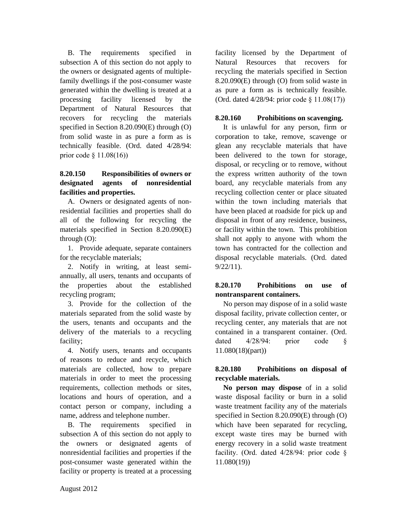B. The requirements specified in subsection A of this section do not apply to the owners or designated agents of multiplefamily dwellings if the post-consumer waste generated within the dwelling is treated at a processing facility licensed by the Department of Natural Resources that recovers for recycling the materials specified in Section 8.20.090(E) through (O) from solid waste in as pure a form as is technically feasible. (Ord. dated 4/28/94: prior code § 11.08(16))

# **8.20.150 Responsibilities of owners or designated agents of nonresidential facilities and properties.**

A. Owners or designated agents of nonresidential facilities and properties shall do all of the following for recycling the materials specified in Section 8.20.090(E) through (O):

1. Provide adequate, separate containers for the recyclable materials;

2. Notify in writing, at least semiannually, all users, tenants and occupants of the properties about the established recycling program;

3. Provide for the collection of the materials separated from the solid waste by the users, tenants and occupants and the delivery of the materials to a recycling facility;

4. Notify users, tenants and occupants of reasons to reduce and recycle, which materials are collected, how to prepare materials in order to meet the processing requirements, collection methods or sites, locations and hours of operation, and a contact person or company, including a name, address and telephone number.

B. The requirements specified in subsection A of this section do not apply to the owners or designated agents of nonresidential facilities and properties if the post-consumer waste generated within the facility or property is treated at a processing

facility licensed by the Department of Natural Resources that recovers for recycling the materials specified in Section 8.20.090(E) through (O) from solid waste in as pure a form as is technically feasible. (Ord. dated 4/28/94: prior code § 11.08(17))

### **8.20.160 Prohibitions on scavenging.**

It is unlawful for any person, firm or corporation to take, remove, scavenge or glean any recyclable materials that have been delivered to the town for storage, disposal, or recycling or to remove, without the express written authority of the town board, any recyclable materials from any recycling collection center or place situated within the town including materials that have been placed at roadside for pick up and disposal in front of any residence, business, or facility within the town. This prohibition shall not apply to anyone with whom the town has contracted for the collection and disposal recyclable materials. (Ord. dated 9/22/11).

## **8.20.170 Prohibitions on use of nontransparent containers.**

No person may dispose of in a solid waste disposal facility, private collection center, or recycling center, any materials that are not contained in a transparent container. (Ord. dated 4/28/94: prior code § 11.080(18)(part))

# **8.20.180 Prohibitions on disposal of recyclable materials.**

**No person may dispose** of in a solid waste disposal facility or burn in a solid waste treatment facility any of the materials specified in Section 8.20.090(E) through (O) which have been separated for recycling, except waste tires may be burned with energy recovery in a solid waste treatment facility. (Ord. dated 4/28/94: prior code § 11.080(19))